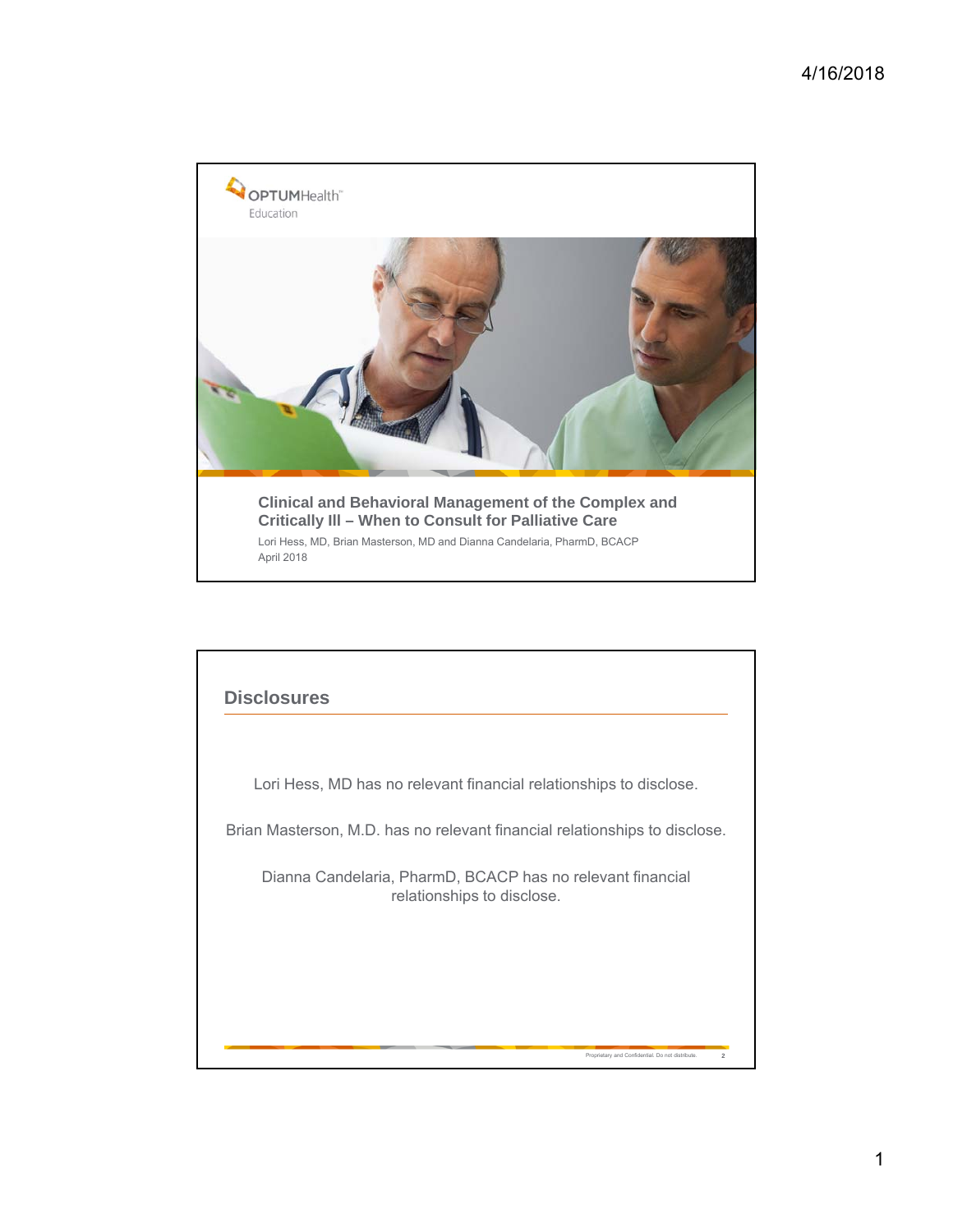

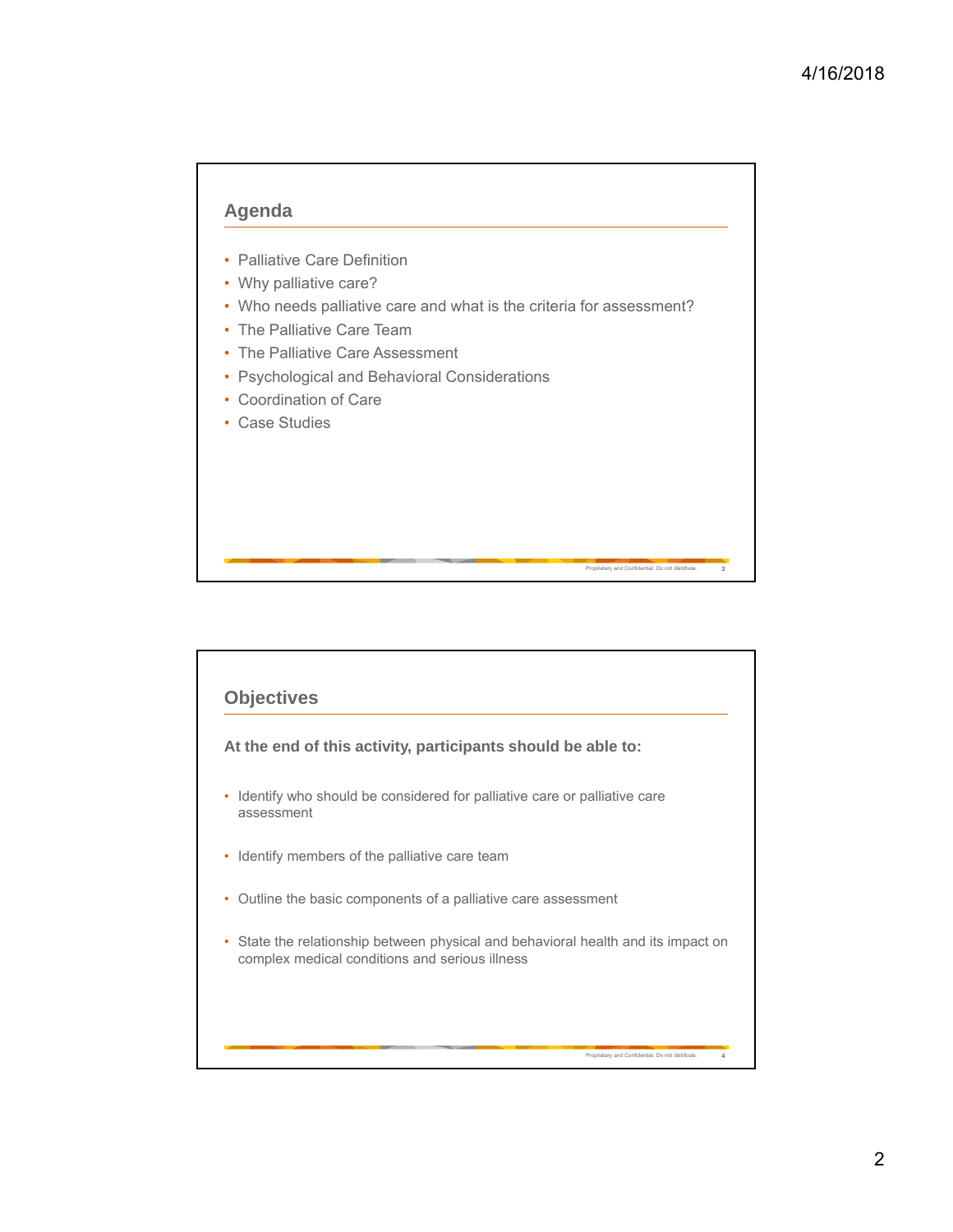

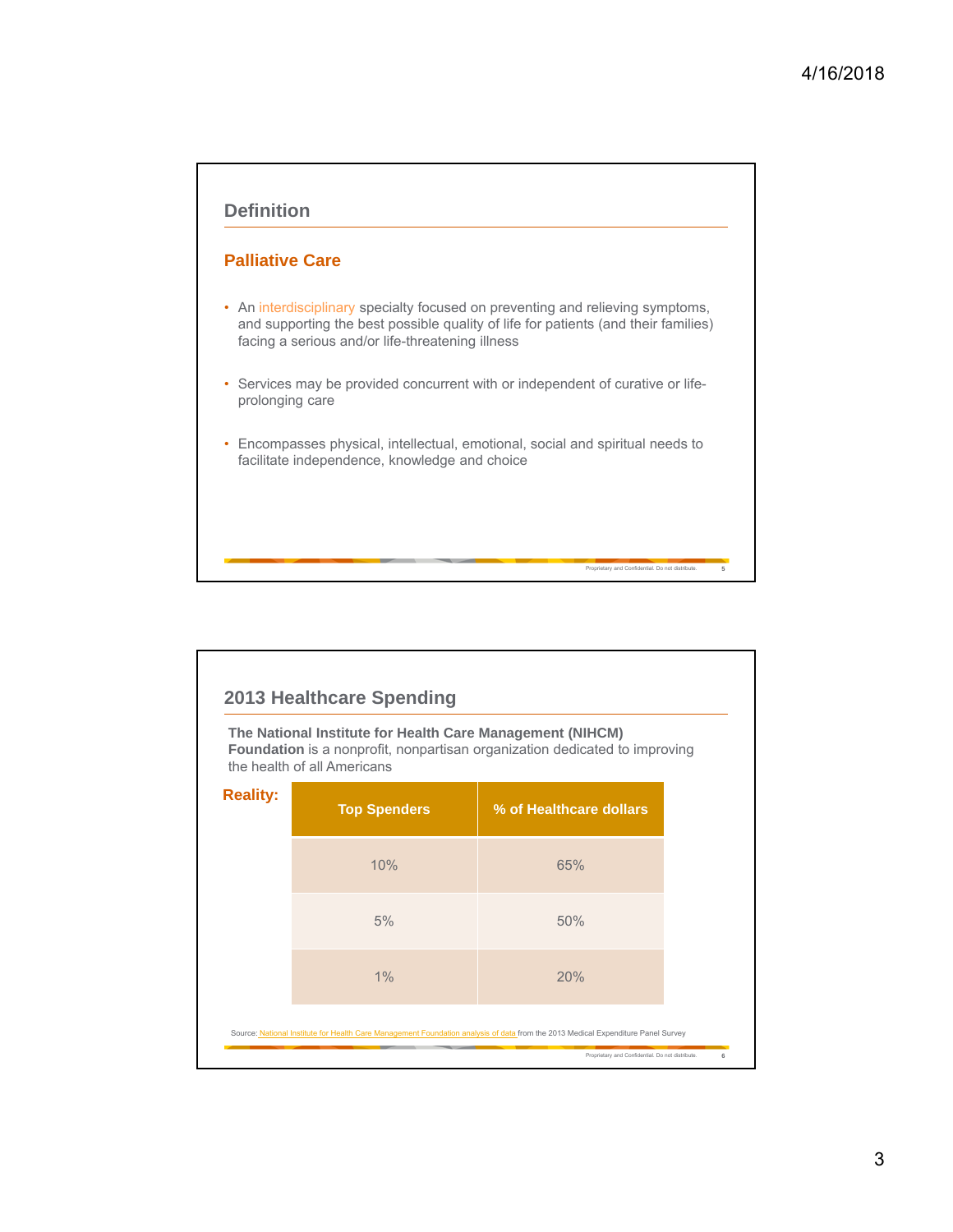

|                 | The National Institute for Health Care Management (NIHCM)<br>the health of all Americans | <b>Foundation</b> is a nonprofit, nonpartisan organization dedicated to improving |  |
|-----------------|------------------------------------------------------------------------------------------|-----------------------------------------------------------------------------------|--|
| <b>Reality:</b> | <b>Top Spenders</b>                                                                      | % of Healthcare dollars                                                           |  |
|                 | 10%                                                                                      | 65%                                                                               |  |
|                 | 5%                                                                                       | 50%                                                                               |  |
|                 | 1%                                                                                       | 20%                                                                               |  |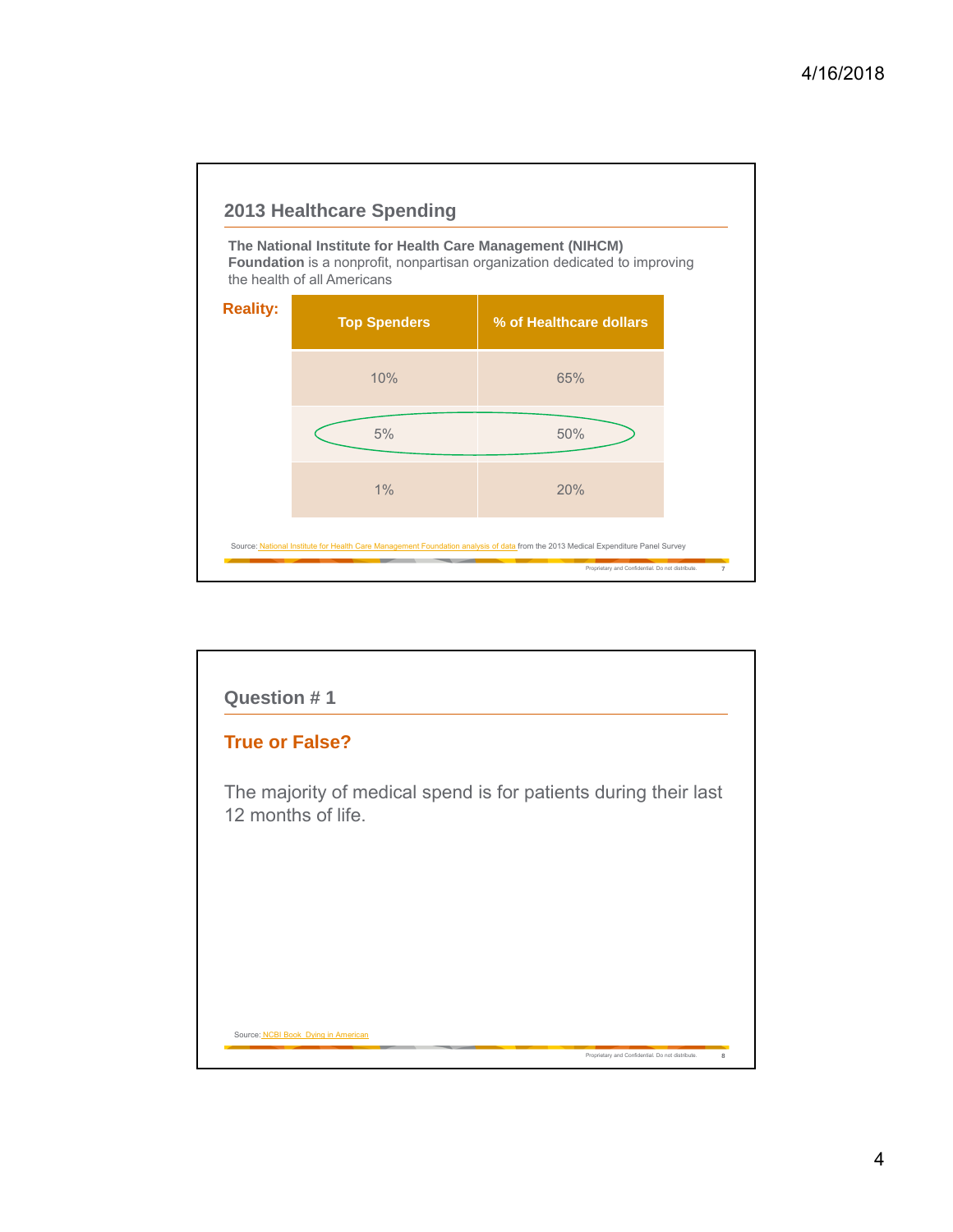

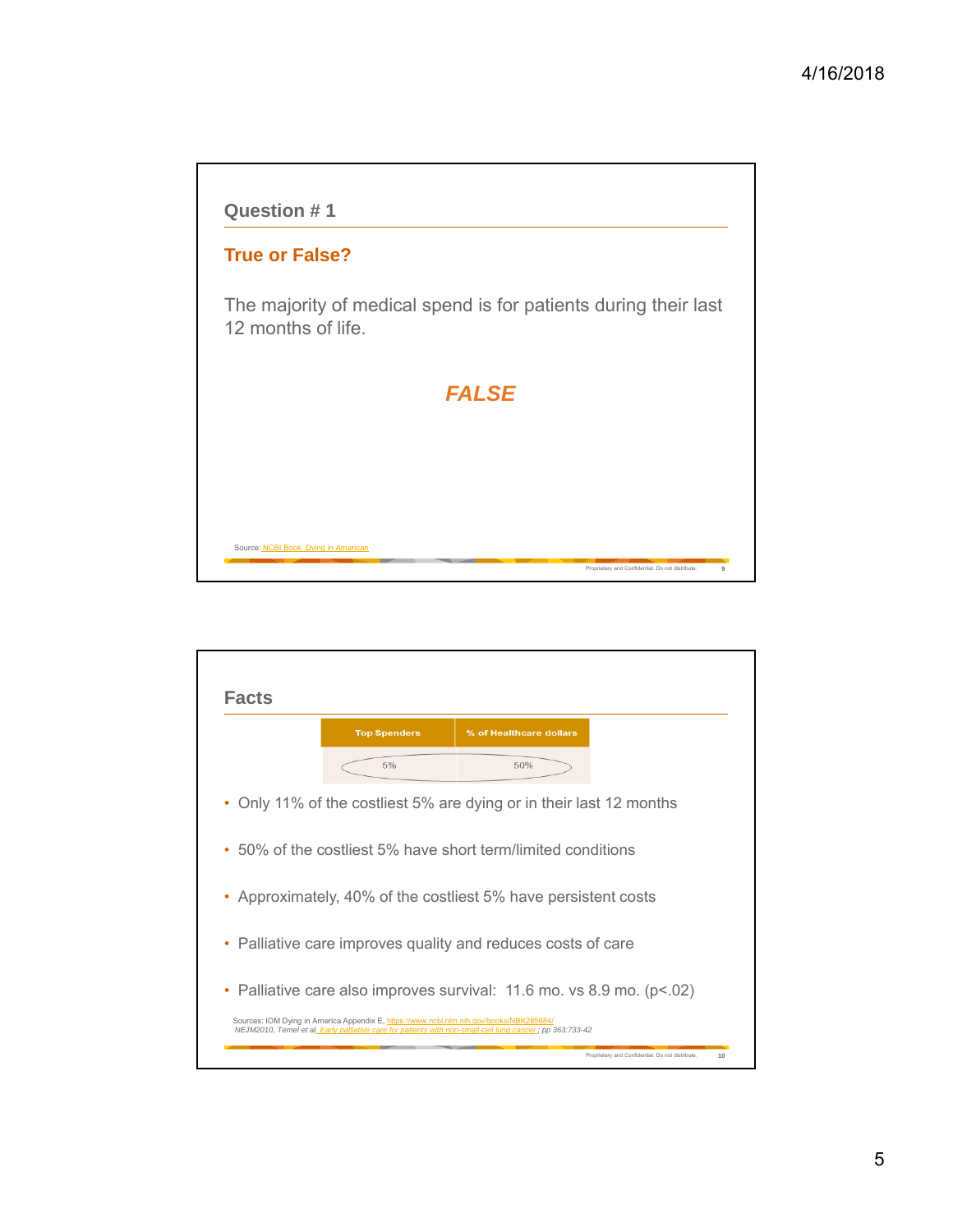

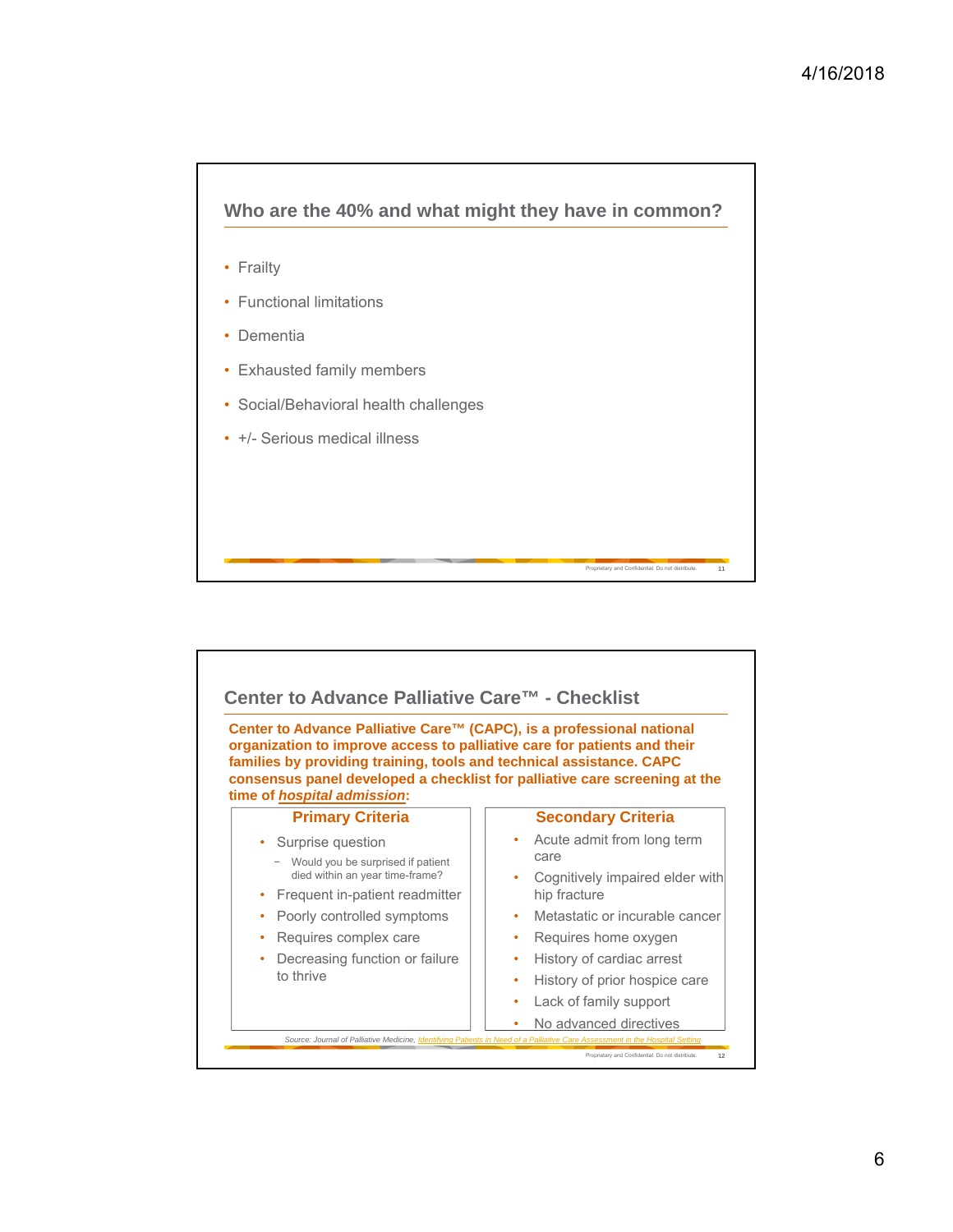

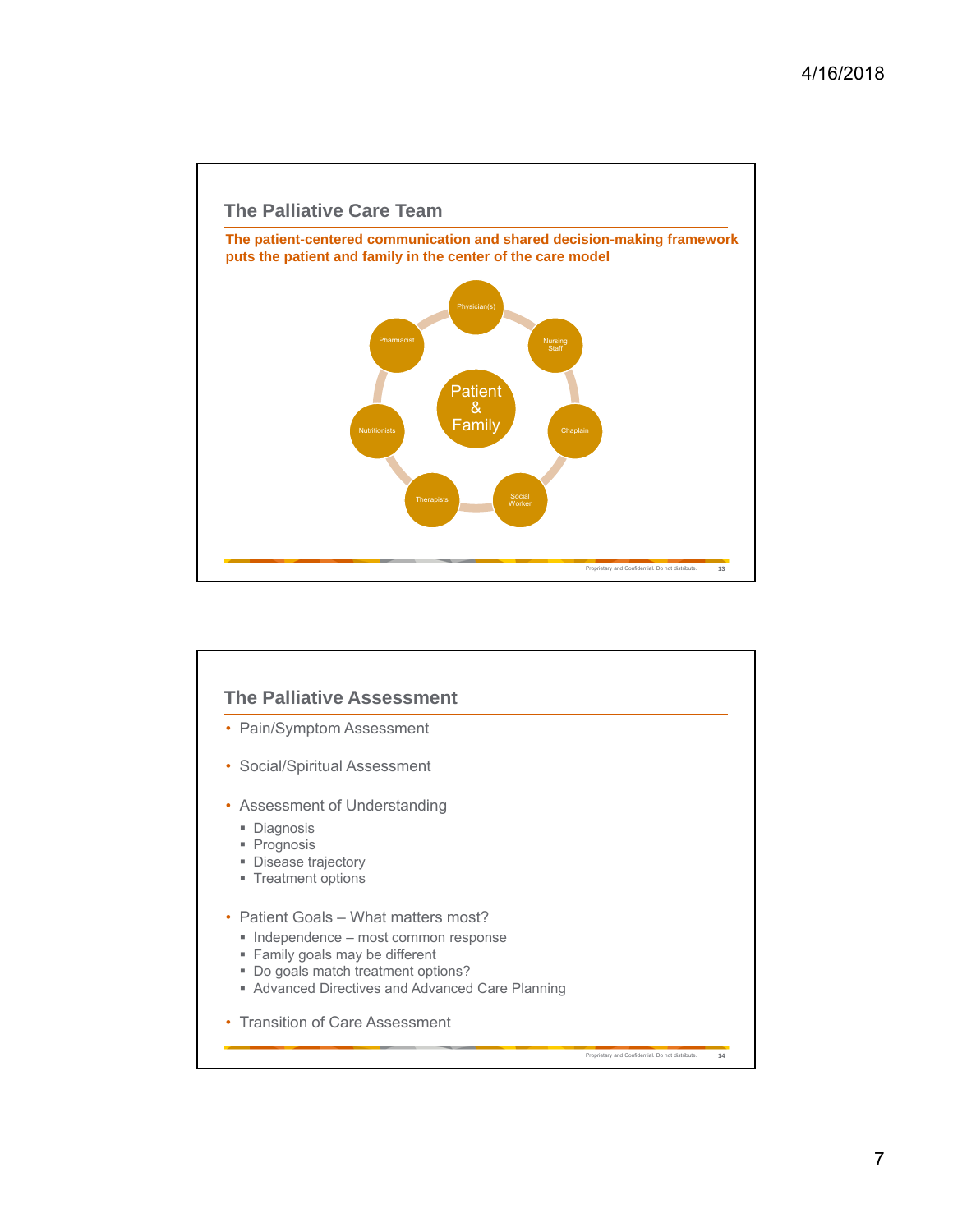

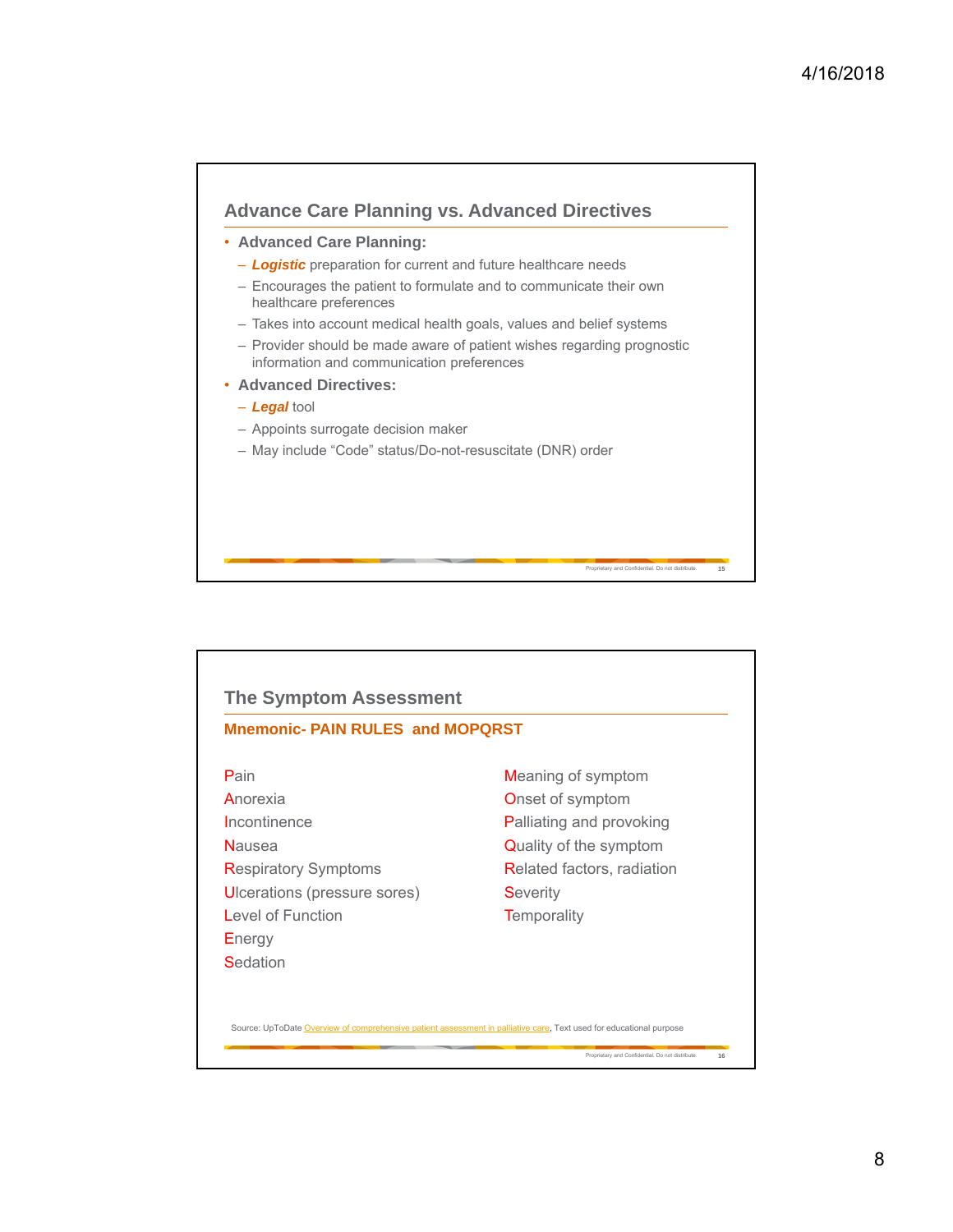

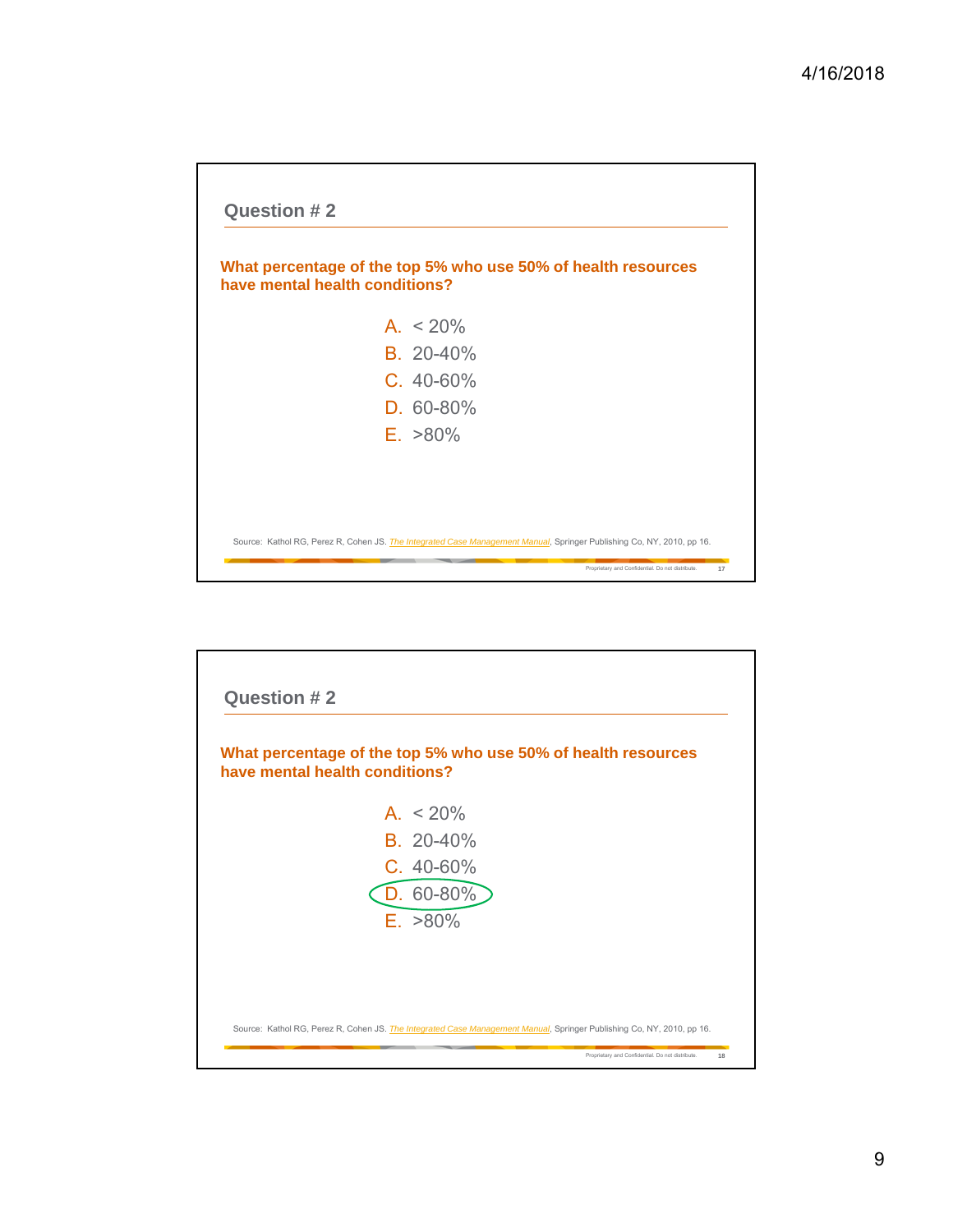

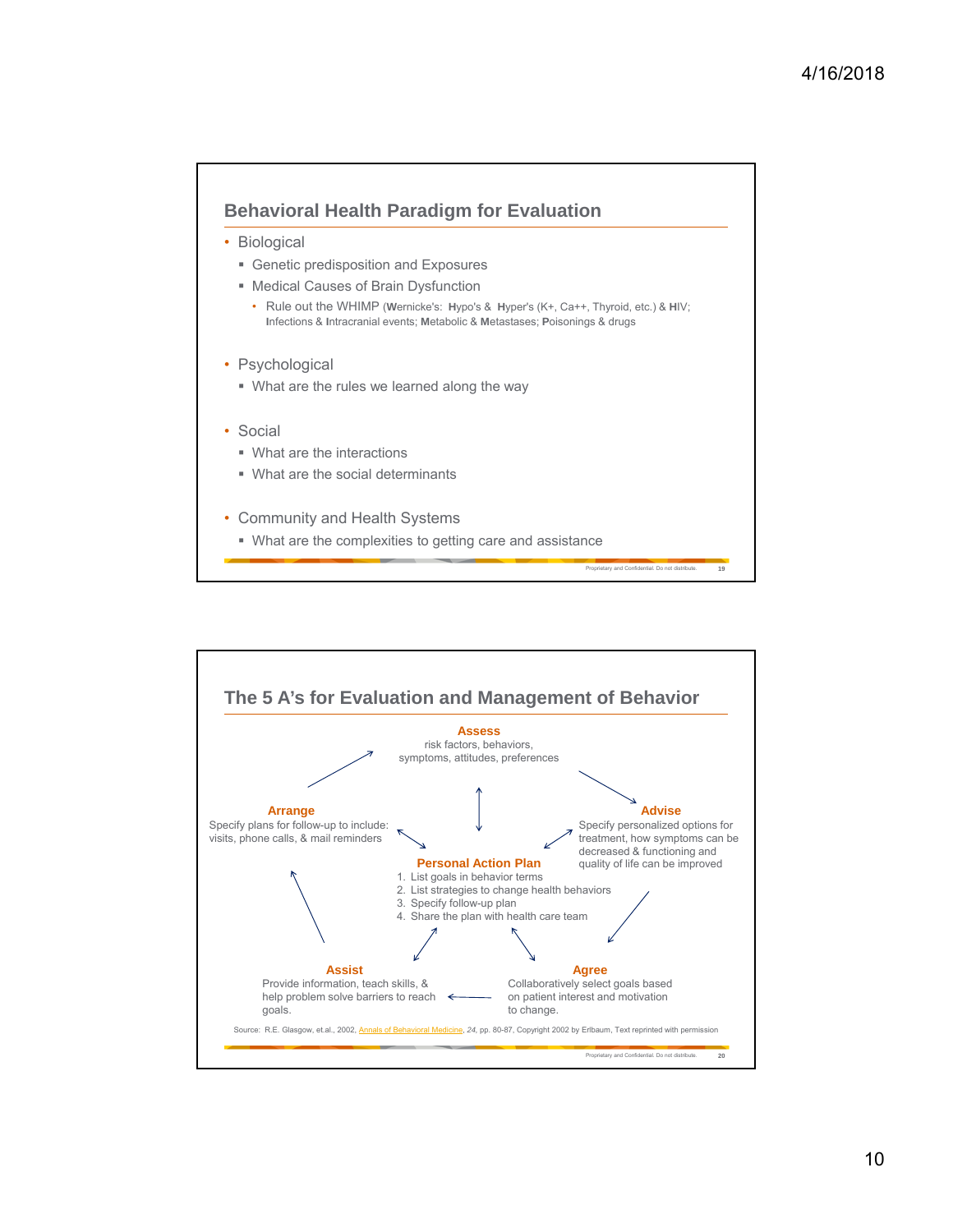

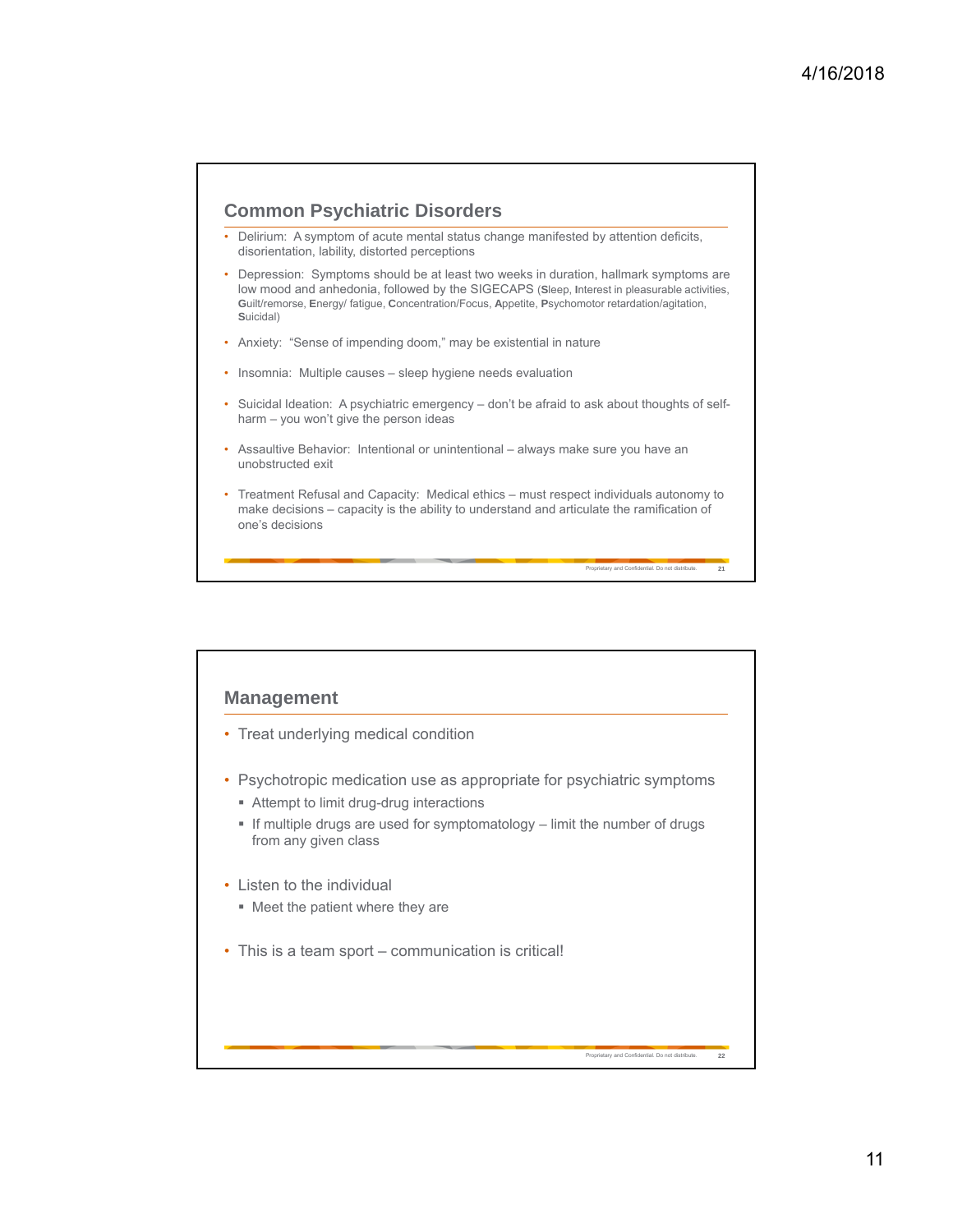## **Common Psychiatric Disorders**

- Delirium: A symptom of acute mental status change manifested by attention deficits, disorientation, lability, distorted perceptions
- Depression: Symptoms should be at least two weeks in duration, hallmark symptoms are low mood and anhedonia, followed by the SIGECAPS (**S**leep, **I**nterest in pleasurable activities, **G**uilt/remorse, **E**nergy/ fatigue, **C**oncentration/Focus, **A**ppetite, **P**sychomotor retardation/agitation, **S**uicidal)
- Anxiety: "Sense of impending doom," may be existential in nature
- Insomnia: Multiple causes sleep hygiene needs evaluation
- Suicidal Ideation: A psychiatric emergency don't be afraid to ask about thoughts of selfharm – you won't give the person ideas
- Assaultive Behavior: Intentional or unintentional always make sure you have an unobstructed exit
- Treatment Refusal and Capacity: Medical ethics must respect individuals autonomy to make decisions – capacity is the ability to understand and articulate the ramification of one's decisions

Proprietary and Confidential. Do not distribute. **21**

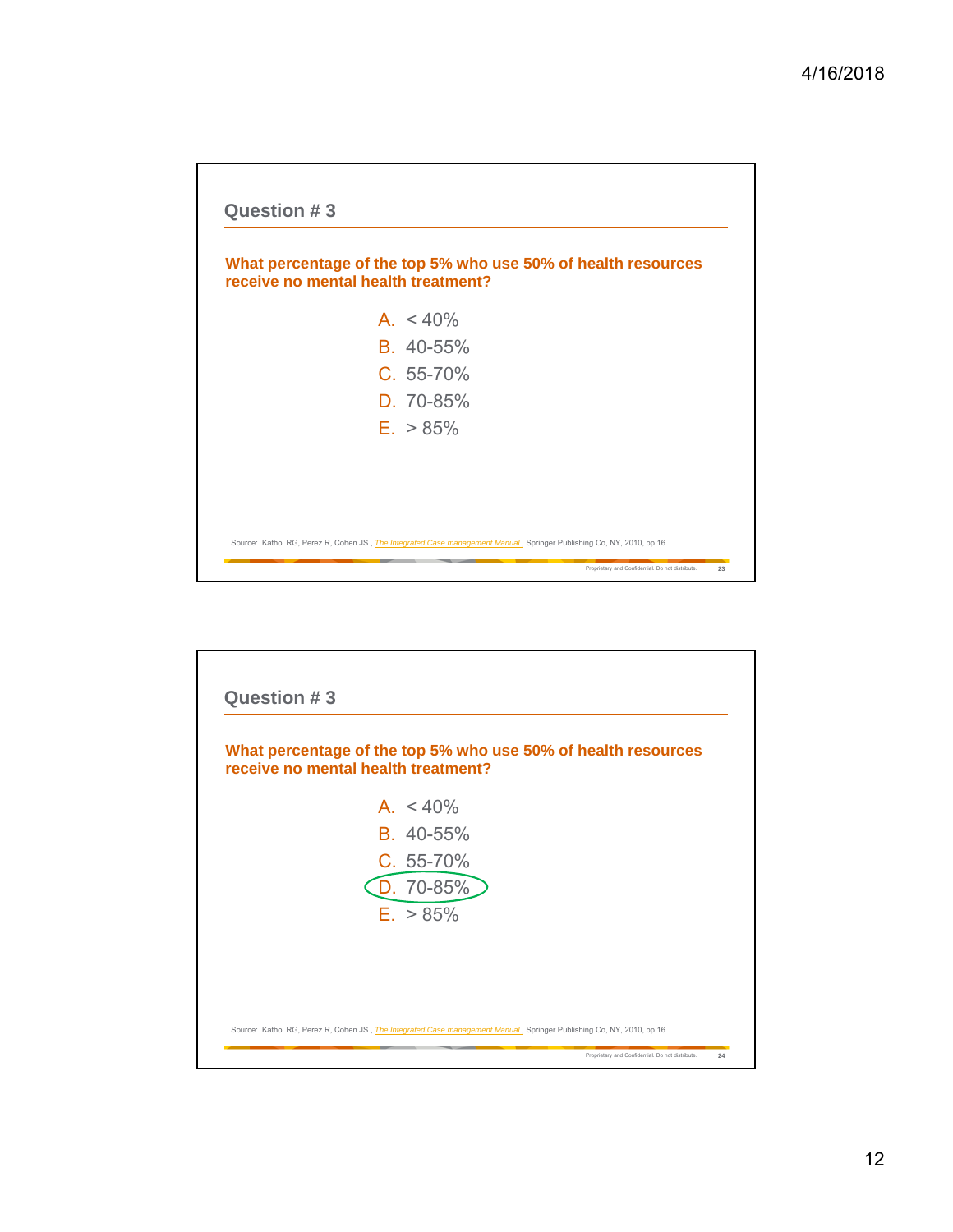

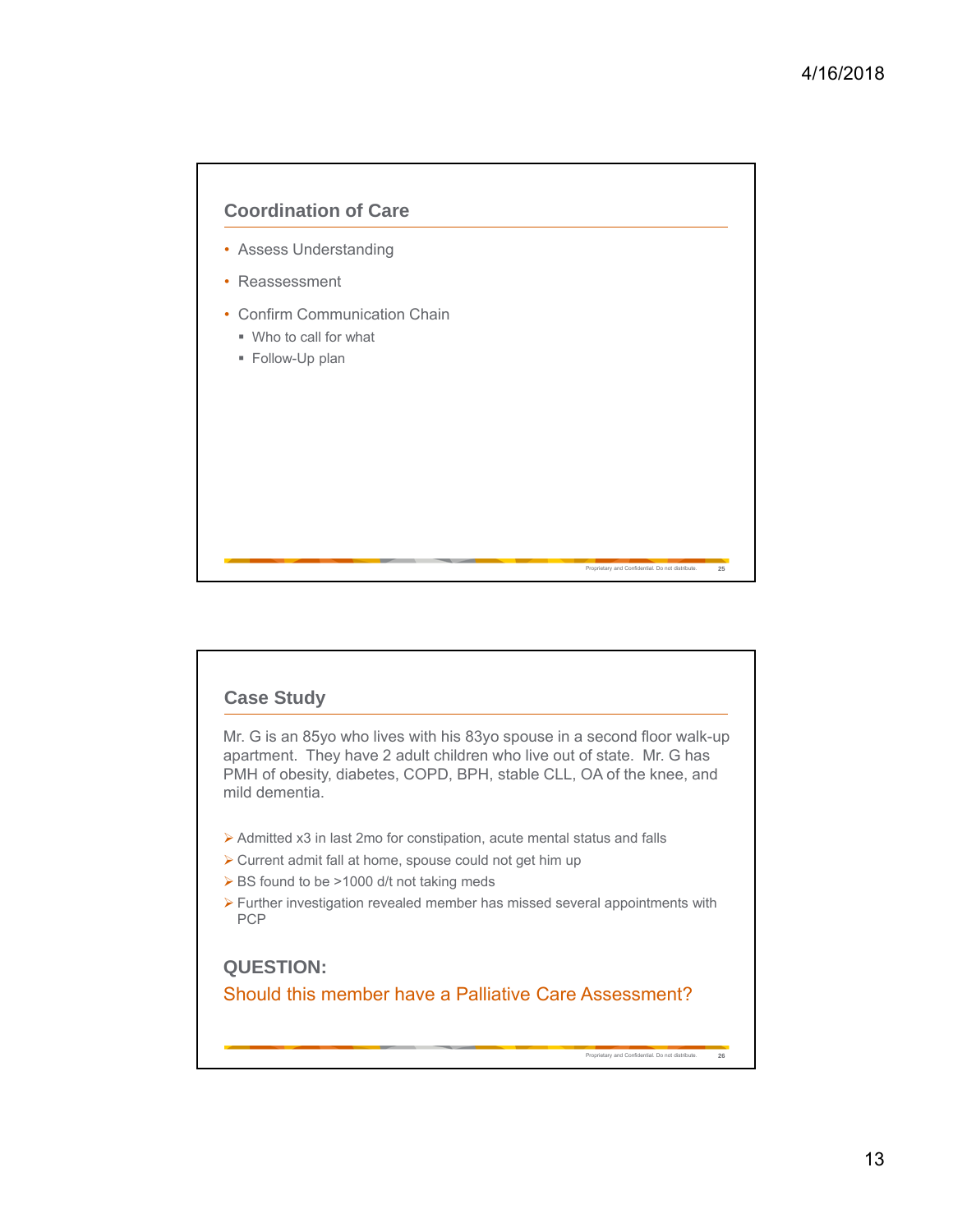

## **Case Study**

Mr. G is an 85yo who lives with his 83yo spouse in a second floor walk-up apartment. They have 2 adult children who live out of state. Mr. G has PMH of obesity, diabetes, COPD, BPH, stable CLL, OA of the knee, and mild dementia.

- Admitted x3 in last 2mo for constipation, acute mental status and falls
- $\triangleright$  Current admit fall at home, spouse could not get him up
- ▶ BS found to be >1000 d/t not taking meds
- $\triangleright$  Further investigation revealed member has missed several appointments with PCP

**QUESTION:**  Should this member have a Palliative Care Assessment?

Proprietary and Confidential. Do not distribute. **26**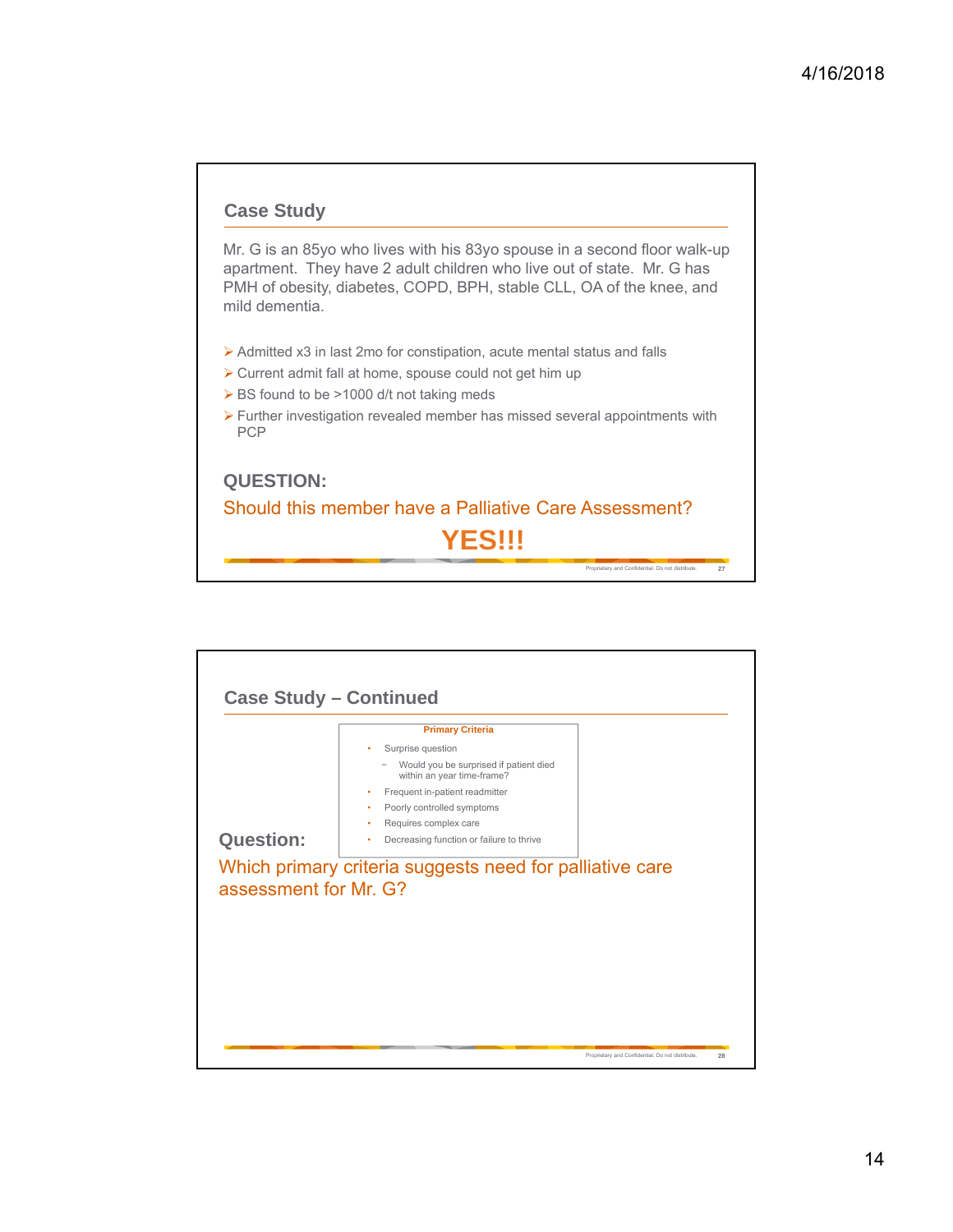

Mr. G is an 85yo who lives with his 83yo spouse in a second floor walk-up apartment. They have 2 adult children who live out of state. Mr. G has PMH of obesity, diabetes, COPD, BPH, stable CLL, OA of the knee, and mild dementia.

- Admitted x3 in last 2mo for constipation, acute mental status and falls
- $\triangleright$  Current admit fall at home, spouse could not get him up
- ▶ BS found to be >1000 d/t not taking meds
- Further investigation revealed member has missed several appointments with PCP

## Proprietary and Confidential. Do not distribute. **27 QUESTION:**  Should this member have a Palliative Care Assessment? **YES!!!**

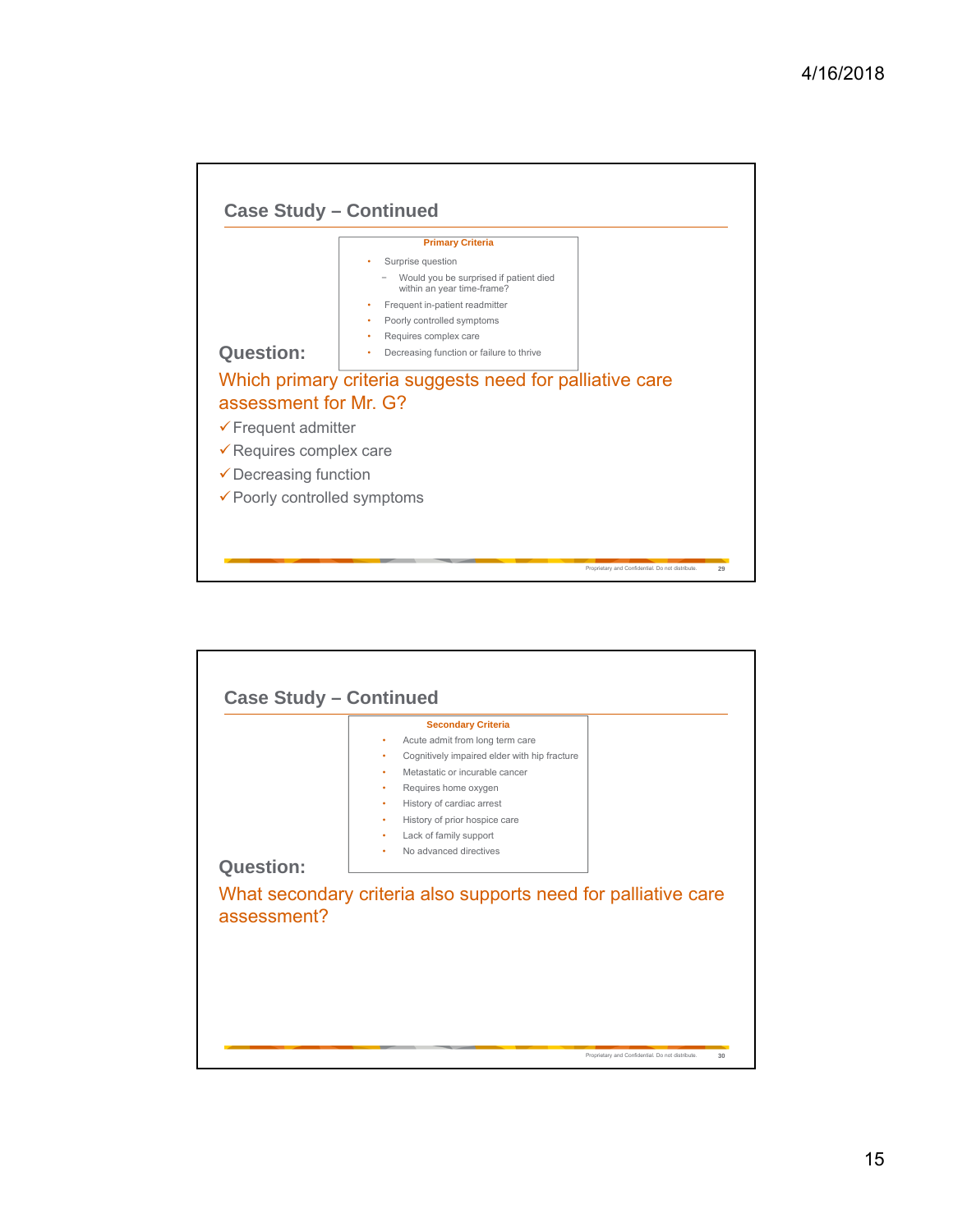

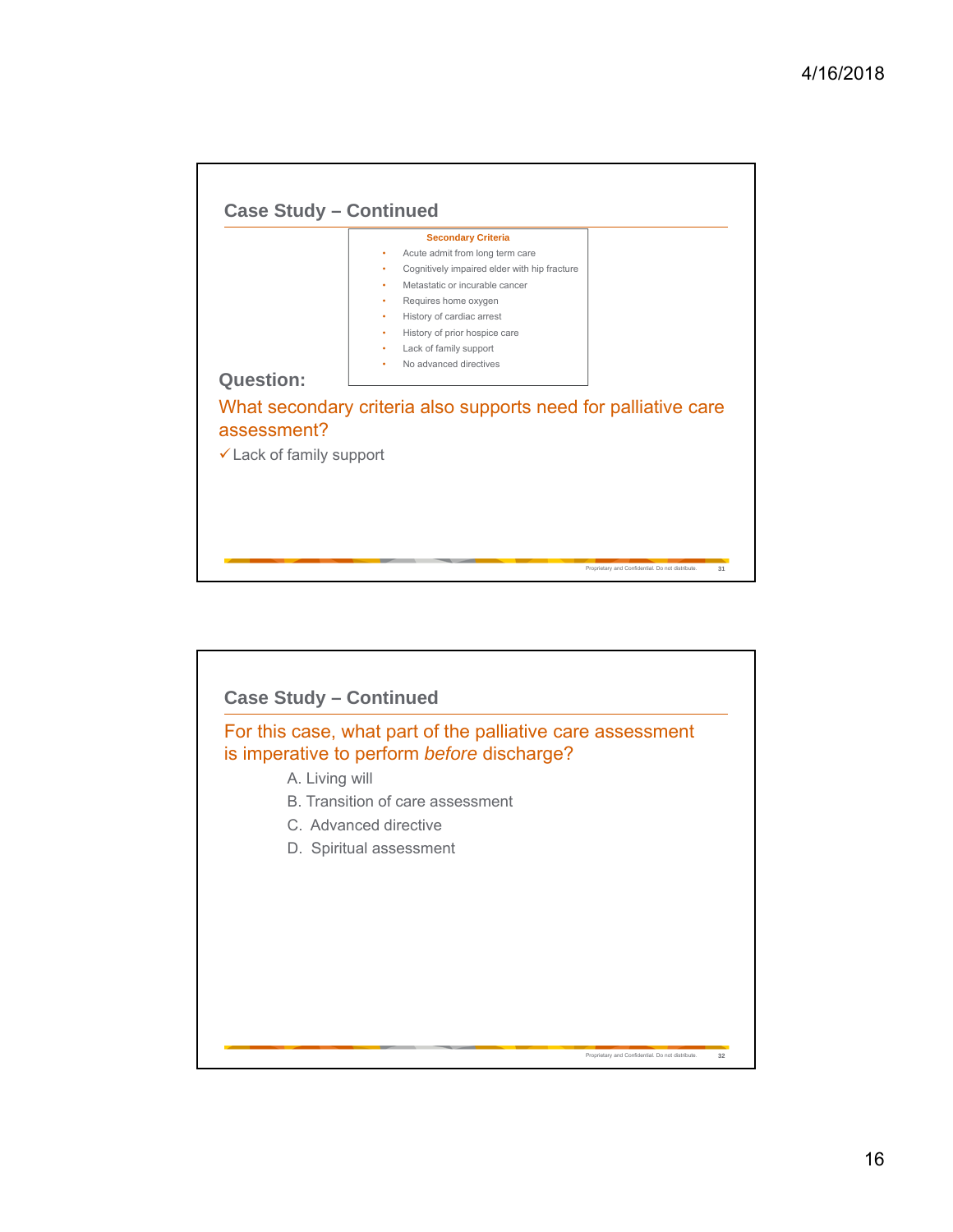| History of cardiac arrest<br>٠<br>History of prior hospice care<br>٠<br>Lack of family support<br>٠<br>No advanced directives<br>٠<br>What secondary criteria also supports need for palliative care |                                 | <b>Secondary Criteria</b><br>Acute admit from long term care<br>٠<br>Cognitively impaired elder with hip fracture<br>٠<br>Metastatic or incurable cancer<br>٠ |
|------------------------------------------------------------------------------------------------------------------------------------------------------------------------------------------------------|---------------------------------|---------------------------------------------------------------------------------------------------------------------------------------------------------------|
|                                                                                                                                                                                                      |                                 | Requires home oxygen<br>٠                                                                                                                                     |
| Lack of family support                                                                                                                                                                               | <b>Question:</b><br>assessment? |                                                                                                                                                               |

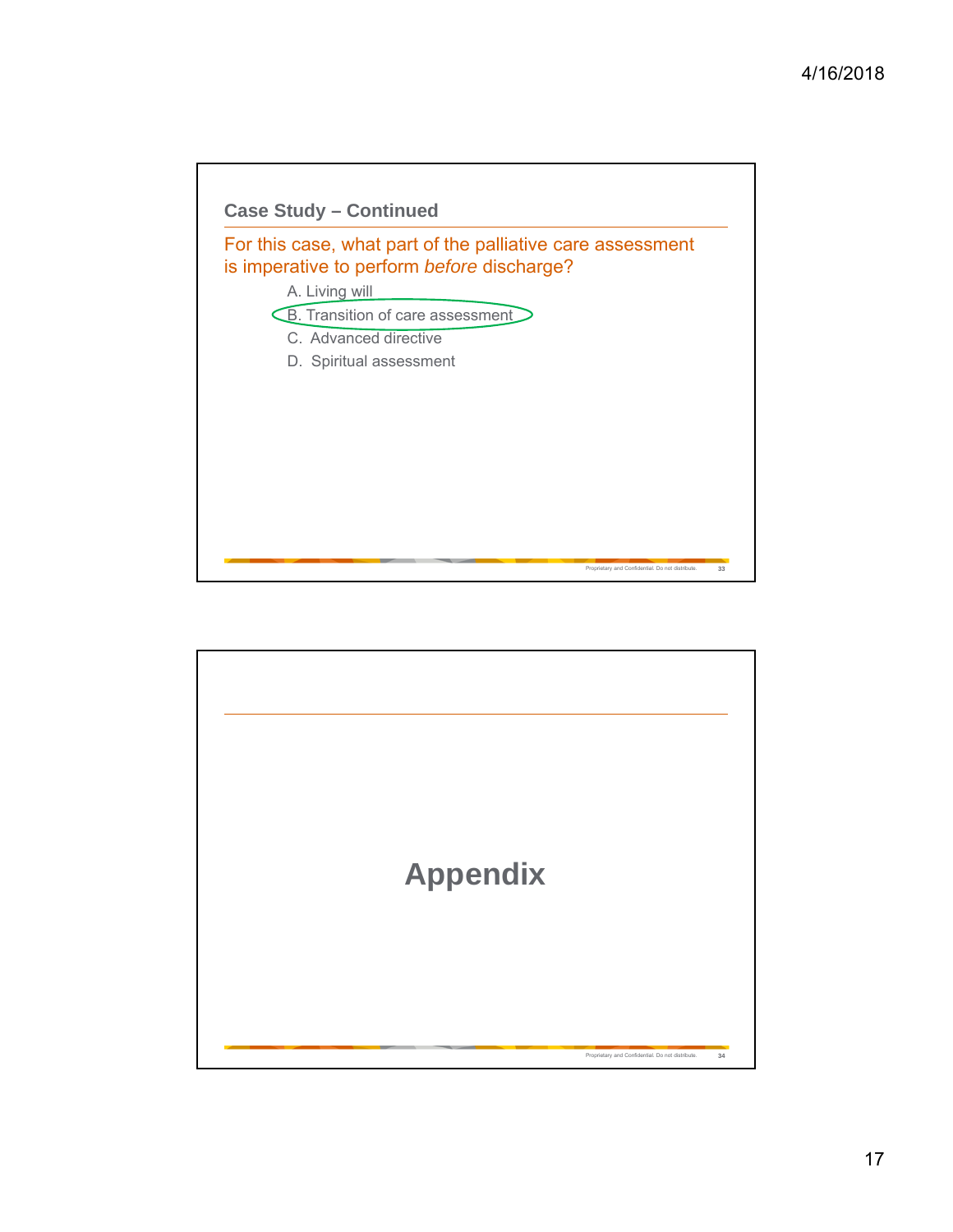

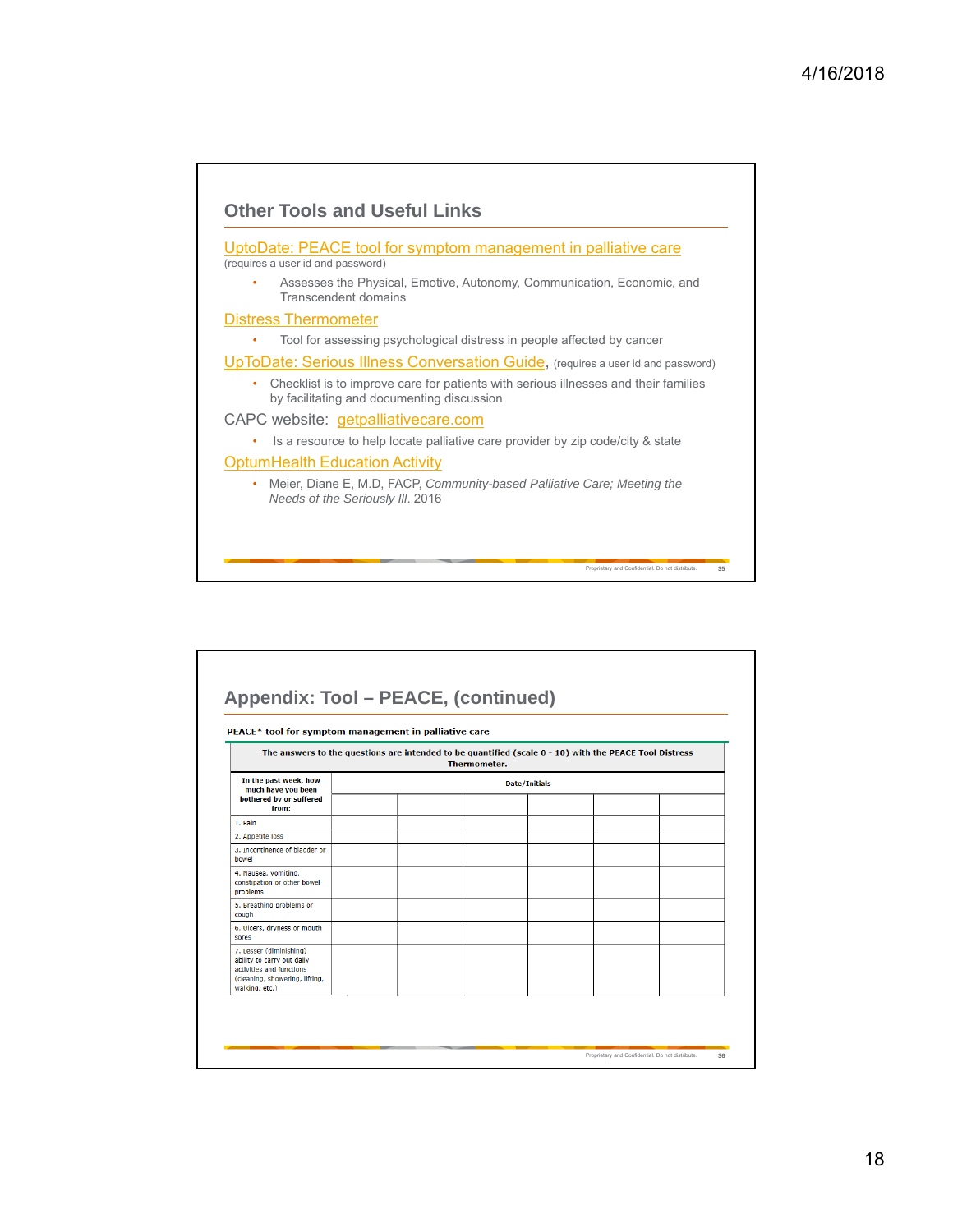

| PEACE* tool for symptom management in palliative care                                                                                 |  |                      |  |  |  |
|---------------------------------------------------------------------------------------------------------------------------------------|--|----------------------|--|--|--|
| The answers to the questions are intended to be quantified (scale $0 - 10$ ) with the PEACE Tool Distress<br><b>Thermometer.</b>      |  |                      |  |  |  |
| In the past week, how<br>much have you been<br>bothered by or suffered                                                                |  | <b>Date/Initials</b> |  |  |  |
| from:<br>1. Pain                                                                                                                      |  |                      |  |  |  |
| 2. Appetite loss                                                                                                                      |  |                      |  |  |  |
| 3. Incontinence of bladder or<br>bowel                                                                                                |  |                      |  |  |  |
| 4. Nausea, vomiting,<br>constipation or other bowel<br>problems                                                                       |  |                      |  |  |  |
| 5. Breathing problems or<br>cough                                                                                                     |  |                      |  |  |  |
| 6. Ulcers, dryness or mouth<br>sores                                                                                                  |  |                      |  |  |  |
| 7. Lesser (diminishing)<br>ability to carry out daily<br>activities and functions<br>(cleaning, showering, lifting,<br>walking, etc.) |  |                      |  |  |  |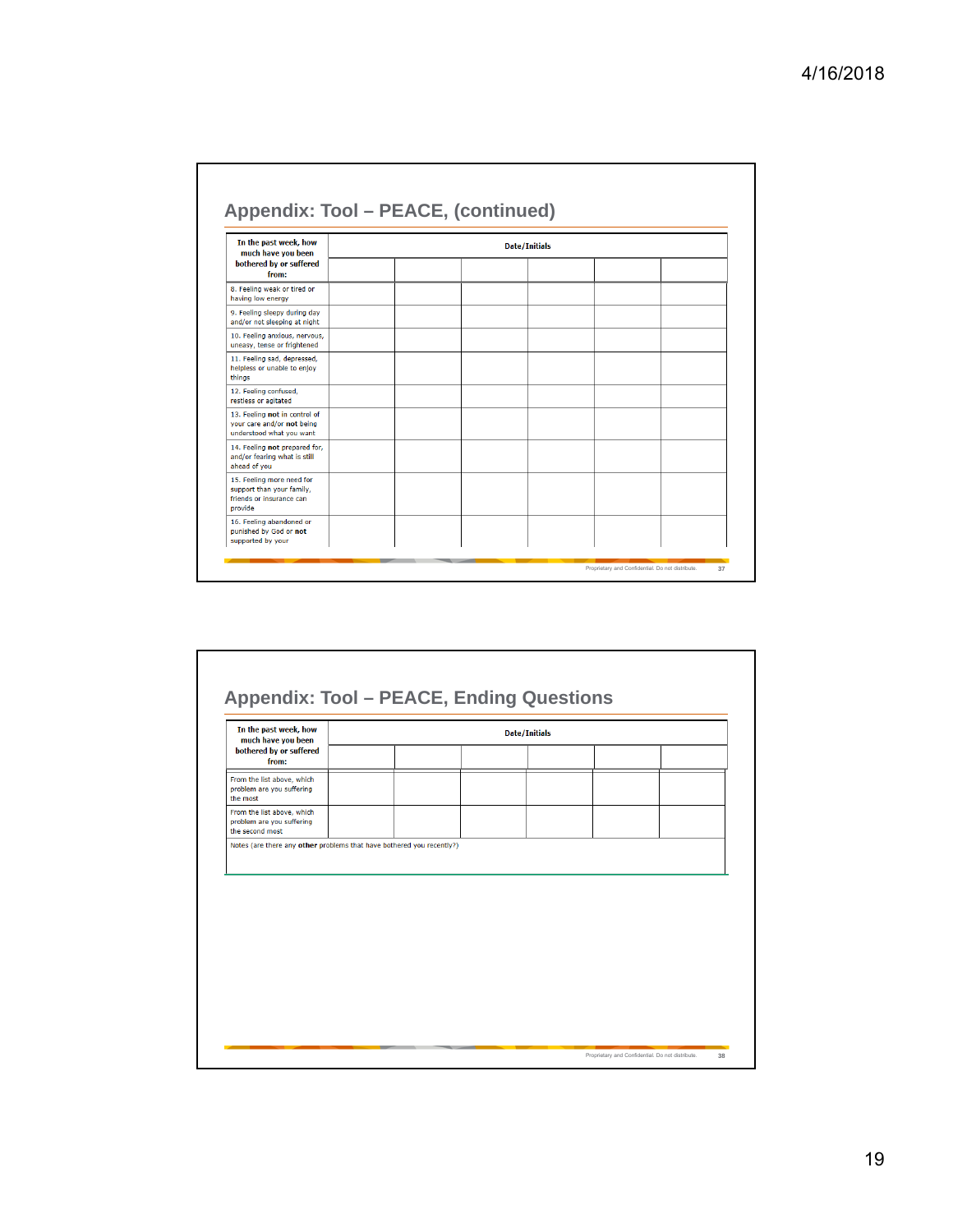| In the past week, how<br>much have you been                                                   | <b>Date/Initials</b> |  |  |  |  |
|-----------------------------------------------------------------------------------------------|----------------------|--|--|--|--|
| bothered by or suffered<br>from:                                                              |                      |  |  |  |  |
| 8. Feeling weak or tired or<br>having low energy                                              |                      |  |  |  |  |
| 9. Feeling sleepy during day<br>and/or not sleeping at night                                  |                      |  |  |  |  |
| 10. Feeling anxious, nervous,<br>uneasy, tense or frightened                                  |                      |  |  |  |  |
| 11. Feeling sad, depressed,<br>helpless or unable to enjoy<br>thinas                          |                      |  |  |  |  |
| 12. Feeling confused,<br>restless or agitated                                                 |                      |  |  |  |  |
| 13. Feeling not in control of<br>your care and/or not being<br>understood what you want       |                      |  |  |  |  |
| 14. Feeling not prepared for.<br>and/or fearing what is still<br>ahead of you                 |                      |  |  |  |  |
| 15. Feeling more need for<br>support than your family,<br>friends or insurance can<br>provide |                      |  |  |  |  |
| 16. Feeling abandoned or<br>punished by God or not<br>supported by your                       |                      |  |  |  |  |

| In the past week, how<br>much have you been<br>bothered by or suffered<br>from: | <b>Date/Initials</b> |  |  |  |  |
|---------------------------------------------------------------------------------|----------------------|--|--|--|--|
|                                                                                 |                      |  |  |  |  |
| From the list above, which<br>problem are you suffering<br>the most             |                      |  |  |  |  |
| From the list above, which<br>problem are you suffering<br>the second most      |                      |  |  |  |  |
|                                                                                 |                      |  |  |  |  |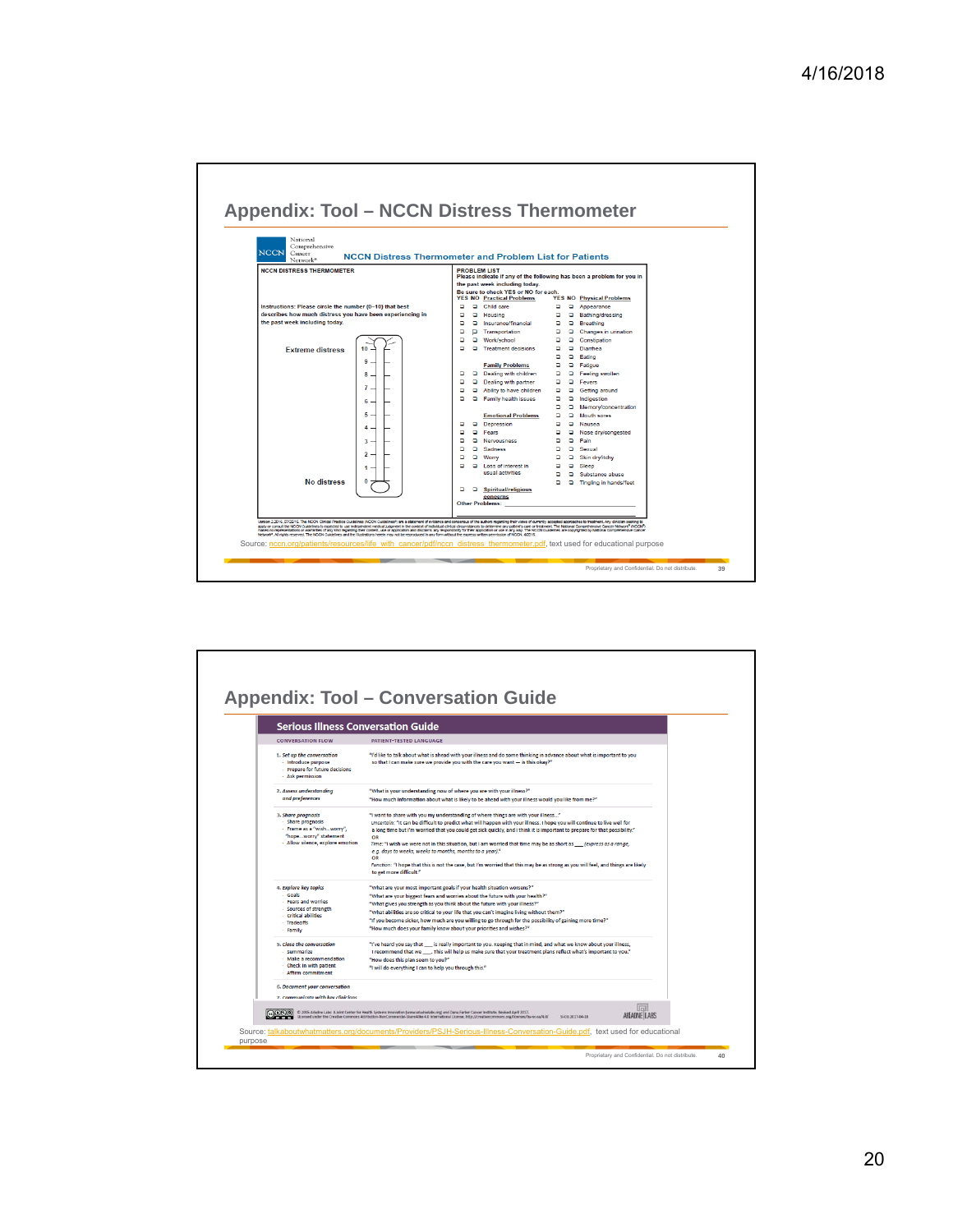